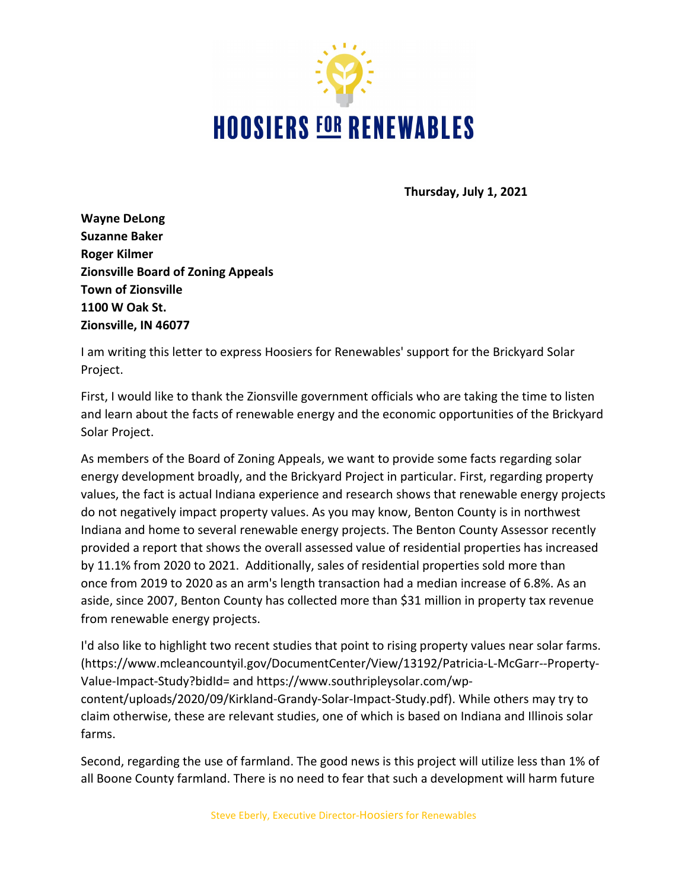

**Thursday, July 1, 2021**

**Wayne DeLong Suzanne Baker Roger Kilmer Zionsville Board of Zoning Appeals Town of Zionsville 1100 W Oak St. Zionsville, IN 46077**

I am writing this letter to express Hoosiers for Renewables' support for the Brickyard Solar Project.

First, I would like to thank the Zionsville government officials who are taking the time to listen and learn about the facts of renewable energy and the economic opportunities of the Brickyard Solar Project.

As members of the Board of Zoning Appeals, we want to provide some facts regarding solar energy development broadly, and the Brickyard Project in particular. First, regarding property values, the fact is actual Indiana experience and research shows that renewable energy projects do not negatively impact property values. As you may know, Benton County is in northwest Indiana and home to several renewable energy projects. The Benton County Assessor recently provided a report that shows the overall assessed value of residential properties has increased by 11.1% from 2020 to 2021. Additionally, sales of residential properties sold more than once from 2019 to 2020 as an arm's length transaction had a median increase of 6.8%. As an aside, since 2007, Benton County has collected more than \$31 million in property tax revenue from renewable energy projects.

I'd also like to highlight two recent studies that point to rising property values near solar farms. [\(https://www.mcleancountyil.gov/DocumentCenter/View/13192/Patricia-L-McGarr--Property-](https://www.mcleancountyil.gov/DocumentCenter/View/13192/Patricia-L-McGarr--Property-Value-Impact-Study?bidId=)[Value-Impact-Study?bidId=](https://www.mcleancountyil.gov/DocumentCenter/View/13192/Patricia-L-McGarr--Property-Value-Impact-Study?bidId=) and [https://www.southripleysolar.com/wp-](https://www.southripleysolar.com/wp-content/uploads/2020/09/Kirkland-Grandy-Solar-Impact-Study.pdf)

[content/uploads/2020/09/Kirkland-Grandy-Solar-Impact-Study.pdf\)](https://www.southripleysolar.com/wp-content/uploads/2020/09/Kirkland-Grandy-Solar-Impact-Study.pdf). While others may try to claim otherwise, these are relevant studies, one of which is based on Indiana and Illinois solar farms.

Second, regarding the use of farmland. The good news is this project will utilize less than 1% of all Boone County farmland. There is no need to fear that such a development will harm future